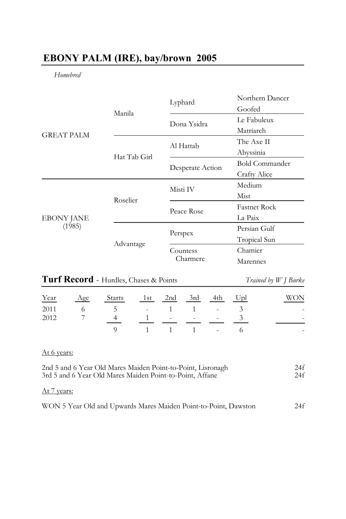# **EBONY PALM (IRE), bay/brown 2005**

*Homebred* 

|                             |              | Lyphard          | Northern Dancer     |
|-----------------------------|--------------|------------------|---------------------|
| <b>GREAT PALM</b>           | Manila       |                  | Goofed              |
|                             |              | Dona Ysidra      | Le Fabuleux         |
|                             |              |                  | Matriarch           |
|                             |              | Al Hattab        | The Axe II          |
|                             | Hat Tab Girl |                  | Abyssinia           |
|                             |              | Desperate Action | Bold Commander      |
|                             |              |                  | Crafty Alice        |
| <b>EBONY JANE</b><br>(1985) | Roselier     | Misti IV         | Medium              |
|                             |              |                  | Mist                |
|                             |              | Peace Rose       | <b>Fastnet Rock</b> |
|                             |              |                  | La Paix             |
|                             | Advantage    | Perspex          | Persian Gulf        |
|                             |              |                  | Tropical Sun        |
|                             |              | Countess         | Chamier             |
|                             |              | Charmere         | Marennes            |

| <b>Turf Record - Hurdles, Chases &amp; Points</b> |     |               |     |                          |                          | Trained by W J Burke |        |     |
|---------------------------------------------------|-----|---------------|-----|--------------------------|--------------------------|----------------------|--------|-----|
| Year                                              | Age | <b>Starts</b> | 1st | 2nd                      | 3rd                      | 4th                  | $U$ pl | WON |
| 2011                                              |     |               |     |                          |                          |                      |        |     |
| 2012                                              |     |               |     | $\overline{\phantom{a}}$ | $\overline{\phantom{a}}$ |                      |        |     |
|                                                   |     |               |     |                          |                          |                      |        |     |

### At 6 years:

| 2nd 5 and 6 Year Old Mares Maiden Point-to-Point, Lisronagh | 24f |
|-------------------------------------------------------------|-----|
| 3rd 5 and 6 Year Old Mares Maiden Point-to-Point, Affane    | 24f |
| At 7 years:                                                 |     |

| WON 5 Year Old and Upwards Mares Maiden Point-to-Point, Dawston | 24f |
|-----------------------------------------------------------------|-----|
|-----------------------------------------------------------------|-----|